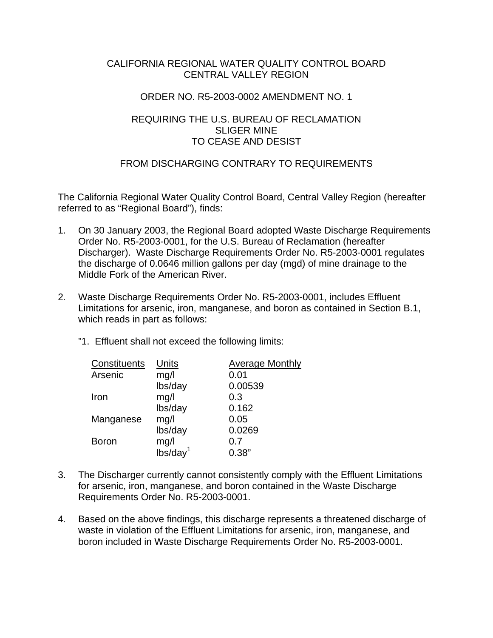## CALIFORNIA REGIONAL WATER QUALITY CONTROL BOARD CENTRAL VALLEY REGION

## ORDER NO. R5-2003-0002 AMENDMENT NO. 1

# REQUIRING THE U.S. BUREAU OF RECLAMATION SLIGER MINE TO CEASE AND DESIST

# FROM DISCHARGING CONTRARY TO REQUIREMENTS

The California Regional Water Quality Control Board, Central Valley Region (hereafter referred to as "Regional Board"), finds:

- 1. On 30 January 2003, the Regional Board adopted Waste Discharge Requirements Order No. R5-2003-0001, for the U.S. Bureau of Reclamation (hereafter Discharger). Waste Discharge Requirements Order No. R5-2003-0001 regulates the discharge of 0.0646 million gallons per day (mgd) of mine drainage to the Middle Fork of the American River.
- 2. Waste Discharge Requirements Order No. R5-2003-0001, includes Effluent Limitations for arsenic, iron, manganese, and boron as contained in Section B.1, which reads in part as follows:
	- "1. Effluent shall not exceed the following limits:

| Constituents | Units                | <b>Average Monthly</b> |
|--------------|----------------------|------------------------|
| Arsenic      | mg/l                 | 0.01                   |
|              | lbs/day              | 0.00539                |
| Iron         | mg/l                 | 0.3                    |
|              | lbs/day              | 0.162                  |
| Manganese    | mg/l                 | 0.05                   |
|              | lbs/day              | 0.0269                 |
| <b>Boron</b> | mg/l                 | 0.7                    |
|              | Ibs/day <sup>1</sup> | 0.38"                  |

- 3. The Discharger currently cannot consistently comply with the Effluent Limitations for arsenic, iron, manganese, and boron contained in the Waste Discharge Requirements Order No. R5-2003-0001.
- 4. Based on the above findings, this discharge represents a threatened discharge of waste in violation of the Effluent Limitations for arsenic, iron, manganese, and boron included in Waste Discharge Requirements Order No. R5-2003-0001.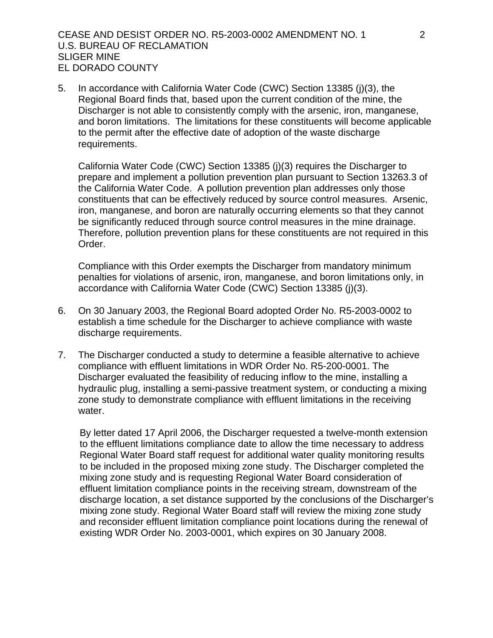#### CEASE AND DESIST ORDER NO. R5-2003-0002 AMENDMENT NO. 1 2 U.S. BUREAU OF RECLAMATION SLIGER MINE EL DORADO COUNTY

5. In accordance with California Water Code (CWC) Section 13385 (j)(3), the Regional Board finds that, based upon the current condition of the mine, the Discharger is not able to consistently comply with the arsenic, iron, manganese, and boron limitations. The limitations for these constituents will become applicable to the permit after the effective date of adoption of the waste discharge requirements.

California Water Code (CWC) Section 13385 (j)(3) requires the Discharger to prepare and implement a pollution prevention plan pursuant to Section 13263.3 of the California Water Code. A pollution prevention plan addresses only those constituents that can be effectively reduced by source control measures. Arsenic, iron, manganese, and boron are naturally occurring elements so that they cannot be significantly reduced through source control measures in the mine drainage. Therefore, pollution prevention plans for these constituents are not required in this Order.

Compliance with this Order exempts the Discharger from mandatory minimum penalties for violations of arsenic, iron, manganese, and boron limitations only, in accordance with California Water Code (CWC) Section 13385 (j)(3).

- 6. On 30 January 2003, the Regional Board adopted Order No. R5-2003-0002 to establish a time schedule for the Discharger to achieve compliance with waste discharge requirements.
- 7. The Discharger conducted a study to determine a feasible alternative to achieve compliance with effluent limitations in WDR Order No. R5-200-0001. The Discharger evaluated the feasibility of reducing inflow to the mine, installing a hydraulic plug, installing a semi-passive treatment system, or conducting a mixing zone study to demonstrate compliance with effluent limitations in the receiving water.

By letter dated 17 April 2006, the Discharger requested a twelve-month extension to the effluent limitations compliance date to allow the time necessary to address Regional Water Board staff request for additional water quality monitoring results to be included in the proposed mixing zone study. The Discharger completed the mixing zone study and is requesting Regional Water Board consideration of effluent limitation compliance points in the receiving stream, downstream of the discharge location, a set distance supported by the conclusions of the Discharger's mixing zone study. Regional Water Board staff will review the mixing zone study and reconsider effluent limitation compliance point locations during the renewal of existing WDR Order No. 2003-0001, which expires on 30 January 2008.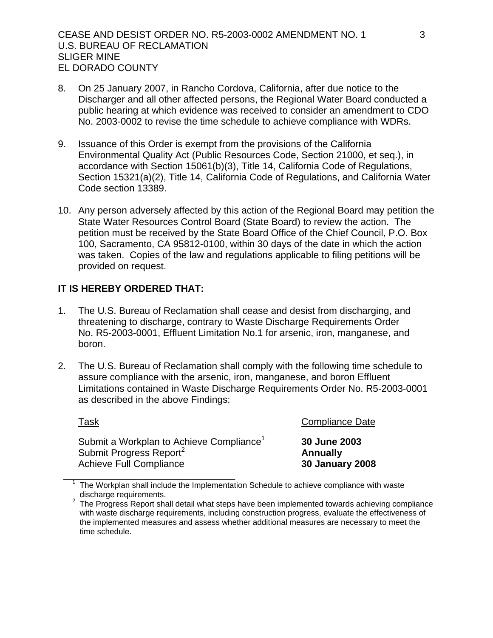- 8. On 25 January 2007, in Rancho Cordova, California, after due notice to the Discharger and all other affected persons, the Regional Water Board conducted a public hearing at which evidence was received to consider an amendment to CDO No. 2003-0002 to revise the time schedule to achieve compliance with WDRs.
- 9. Issuance of this Order is exempt from the provisions of the California Environmental Quality Act (Public Resources Code, Section 21000, et seq.), in accordance with Section 15061(b)(3), Title 14, California Code of Regulations, Section 15321(a)(2), Title 14, California Code of Regulations, and California Water Code section 13389.
- 10. Any person adversely affected by this action of the Regional Board may petition the State Water Resources Control Board (State Board) to review the action. The petition must be received by the State Board Office of the Chief Council, P.O. Box 100, Sacramento, CA 95812-0100, within 30 days of the date in which the action was taken. Copies of the law and regulations applicable to filing petitions will be provided on request.

# **IT IS HEREBY ORDERED THAT:**

- 1. The U.S. Bureau of Reclamation shall cease and desist from discharging, and threatening to discharge, contrary to Waste Discharge Requirements Order No. R5-2003-0001, Effluent Limitation No.1 for arsenic, iron, manganese, and boron.
- 2. The U.S. Bureau of Reclamation shall comply with the following time schedule to assure compliance with the arsenic, iron, manganese, and boron Effluent Limitations contained in Waste Discharge Requirements Order No. R5-2003-0001 as described in the above Findings:

# Task **Task** Compliance Date Submit a Workplan to Achieve Compliance1 **30 June 2003**  Submit Progress Report<sup>2</sup> **Annually** Achieve Full Compliance **30 January 2008**

The Workplan shall include the Implementation Schedule to achieve compliance with waste

discharge requirements.<br><sup>2</sup> The Progress Report shall detail what steps have been implemented towards achieving compliance with waste discharge requirements, including construction progress, evaluate the effectiveness of the implemented measures and assess whether additional measures are necessary to meet the time schedule.